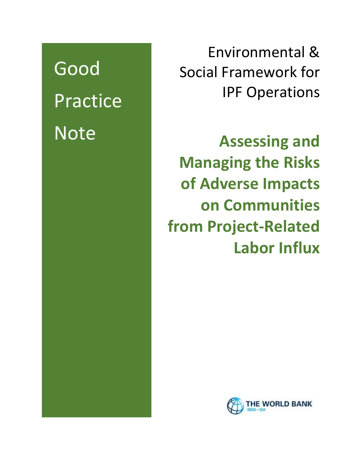Good Practice Note

Environmental & Social Framework for IPF Operations

**Assessing and Managing the Risks of Adverse Impacts on Communities from Project-Related Labor Influx**

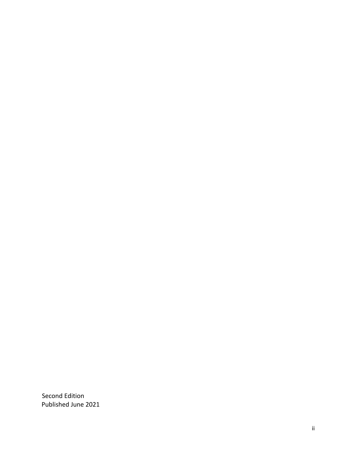Second Edition Published June 2021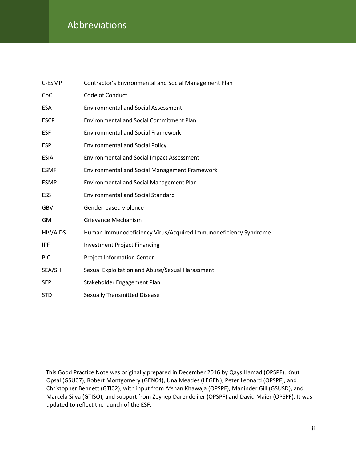# Abbreviations

| C-ESMP      | Contractor's Environmental and Social Management Plan           |
|-------------|-----------------------------------------------------------------|
| CoC         | Code of Conduct                                                 |
| <b>ESA</b>  | <b>Environmental and Social Assessment</b>                      |
| <b>ESCP</b> | <b>Environmental and Social Commitment Plan</b>                 |
| <b>ESF</b>  | <b>Environmental and Social Framework</b>                       |
| <b>ESP</b>  | <b>Environmental and Social Policy</b>                          |
| <b>ESIA</b> | <b>Environmental and Social Impact Assessment</b>               |
| <b>ESMF</b> | <b>Environmental and Social Management Framework</b>            |
| <b>ESMP</b> | Environmental and Social Management Plan                        |
| ESS         | <b>Environmental and Social Standard</b>                        |
| GBV         | Gender-based violence                                           |
| GM          | <b>Grievance Mechanism</b>                                      |
| HIV/AIDS    | Human Immunodeficiency Virus/Acquired Immunodeficiency Syndrome |
| <b>IPF</b>  | <b>Investment Project Financing</b>                             |
| <b>PIC</b>  | <b>Project Information Center</b>                               |
| SEA/SH      | Sexual Exploitation and Abuse/Sexual Harassment                 |
| <b>SEP</b>  | Stakeholder Engagement Plan                                     |
| STD         | <b>Sexually Transmitted Disease</b>                             |

This Good Practice Note was originally prepared in December 2016 by Qays Hamad (OPSPF), Knut Opsal (GSU07), Robert Montgomery (GEN04), Una Meades (LEGEN), Peter Leonard (OPSPF), and Christopher Bennett (GTI02), with input from Afshan Khawaja (OPSPF), Maninder Gill (GSUSD), and Marcela Silva (GTISO), and support from Zeynep Darendeliler (OPSPF) and David Maier (OPSPF). It was updated to reflect the launch of the ESF.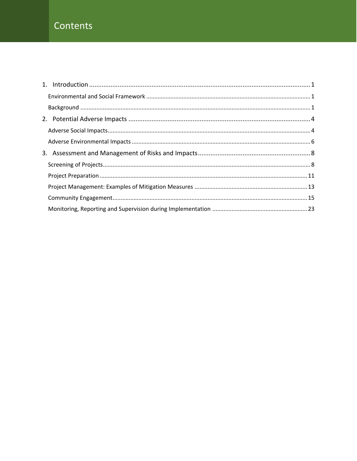# Contents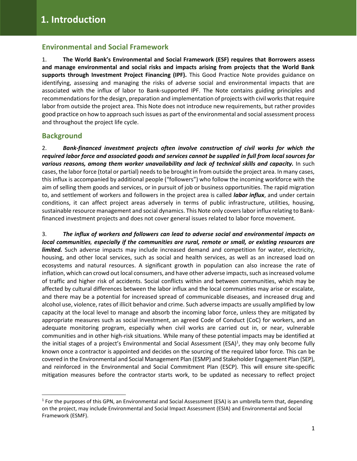## <span id="page-4-0"></span>**Environmental and Social Framework**

1. **The World Bank's Environmental and Social Framework (ESF) requires that Borrowers assess and manage environmental and social risks and impacts arising from projects that the World Bank supports through Investment Project Financing (IPF).** This Good Practice Note provides guidance on identifying, assessing and managing the risks of adverse social and environmental impacts that are associated with the influx of labor to Bank-supported IPF. The Note contains guiding principles and recommendations forthe design, preparation and implementation of projects with civil works that require labor from outside the project area. This Note does not introduce new requirements, but rather provides good practice on how to approach such issues as part of the environmental and social assessment process and throughout the project life cycle.

## <span id="page-4-1"></span>**Background**

2. *Bank-financed investment projects often involve construction of civil works for which the required labor force and associated goods and services cannot be supplied in full from local sources for various reasons, among them worker unavailability and lack of technical skills and capacity.* In such cases, the labor force (total or partial) needs to be brought in from outside the project area. In many cases, this influx is accompanied by additional people ("followers") who follow the incoming workforce with the aim of selling them goods and services, or in pursuit of job or business opportunities. The rapid migration to, and settlement of workers and followers in the project area is called *labor influx*, and under certain conditions, it can affect project areas adversely in terms of public infrastructure, utilities, housing, sustainable resource management and social dynamics. This Note only covers labor influx relating to Bankfinanced investment projects and does not cover general issues related to labor force movement.

3. *The influx of workers and followers can lead to adverse social and environmental impacts on local communities, especially if the communities are rural, remote or small, or existing resources are limited*. Such adverse impacts may include increased demand and competition for water, electricity, housing, and other local services, such as social and health services, as well as an increased load on ecosystems and natural resources. A significant growth in population can also increase the rate of inflation, which can crowd out local consumers, and have other adverse impacts, such as increased volume of traffic and higher risk of accidents. Social conflicts within and between communities, which may be affected by cultural differences between the labor influx and the local communities may arise or escalate, and there may be a potential for increased spread of communicable diseases, and increased drug and alcohol use, violence, rates of illicit behavior and crime. Such adverse impacts are usually amplified by low capacity at the local level to manage and absorb the incoming labor force, unless they are mitigated by appropriate measures such as social investment, an agreed Code of Conduct (CoC) for workers, and an adequate monitoring program, especially when civil works are carried out in, or near, vulnerable communities and in other high-risk situations. While many of these potential impacts may be identified at the initial stages of a project's Environmental and Social Assessment (ESA)<sup>1</sup>, they may only become fully known once a contractor is appointed and decides on the sourcing of the required labor force. This can be covered in the Environmental and Social Management Plan (ESMP) and Stakeholder Engagement Plan (SEP), and reinforced in the Environmental and Social Commitment Plan (ESCP). This will ensure site-specific mitigation measures before the contractor starts work, to be updated as necessary to reflect project

<sup>&</sup>lt;sup>1</sup> For the purposes of this GPN, an Environmental and Social Assessment (ESA) is an umbrella term that, depending on the project, may include Environmental and Social Impact Assessment (ESIA) and Environmental and Social Framework (ESMF).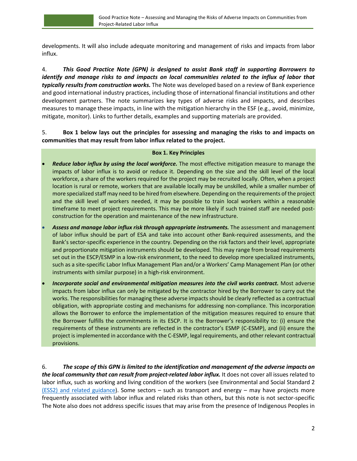developments. It will also include adequate monitoring and management of risks and impacts from labor influx.

4. *This Good Practice Note (GPN) is designed to assist Bank staff in supporting Borrowers to identify and manage risks to and impacts on local communities related to the influx of labor that typically results from construction works.* The Note was developed based on a review of Bank experience and good international industry practices, including those of international financial institutions and other development partners. The note summarizes key types of adverse risks and impacts, and describes measures to manage these impacts, in line with the mitigation hierarchy in the ESF (e.g., avoid, minimize, mitigate, monitor). Links to further details, examples and supporting materials are provided.

## 5. **Box 1 below lays out the principles for assessing and managing the risks to and impacts on communities that may result from labor influx related to the project.**

#### **Box 1. Key Principles**

- *Reduce labor influx by using the local workforce.* The most effective mitigation measure to manage the impacts of labor influx is to avoid or reduce it. Depending on the size and the skill level of the local workforce, a share of the workers required for the project may be recruited locally. Often, when a project location is rural or remote, workers that are available locally may be unskilled, while a smaller number of more specialized staff may need to be hired from elsewhere. Depending on the requirements of the project and the skill level of workers needed, it may be possible to train local workers within a reasonable timeframe to meet project requirements. This may be more likely if such trained staff are needed postconstruction for the operation and maintenance of the new infrastructure.
- *Assess and manage labor influx risk through appropriate instruments.* The assessment and management of labor influx should be part of ESA and take into account other Bank-required assessments, and the Bank's sector-specific experience in the country. Depending on the risk factors and their level, appropriate and proportionate mitigation instruments should be developed. This may range from broad requirements set out in the ESCP/ESMP in a low-risk environment, to the need to develop more specialized instruments, such as a site-specific Labor Influx Management Plan and/or a Workers' Camp Management Plan (or other instruments with similar purpose) in a high-risk environment.
- *Incorporate social and environmental mitigation measures into the civil works contract.* Most adverse impacts from labor influx can only be mitigated by the contractor hired by the Borrower to carry out the works. The responsibilities for managing these adverse impacts should be clearly reflected as a contractual obligation, with appropriate costing and mechanisms for addressing non-compliance. This incorporation allows the Borrower to enforce the implementation of the mitigation measures required to ensure that the Borrower fulfills the commitments in its ESCP. It is the Borrower's responsibility to: (i) ensure the requirements of these instruments are reflected in the contractor's ESMP (C-ESMP), and (ii) ensure the project is implemented in accordance with the C-ESMP, legal requirements, and other relevant contractual provisions.

6. *The scope of this GPN is limited to the identification and management of the adverse impacts on the local community that can result from project-related labor influx.* It does not cover all issues related to labor influx, such as working and living condition of the workers (see Environmental and Social Standard 2 (ESS2) and related [guidance\)](https://www.worldbank.org/en/projects-operations/environmental-and-social-framework/brief/environmental-and-social-standards#ess2). Some sectors – such as transport and energy – may have projects more frequently associated with labor influx and related risks than others, but this note is not sector-specific The Note also does not address specific issues that may arise from the presence of Indigenous Peoples in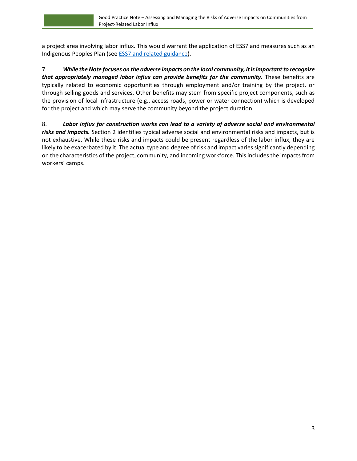a project area involving labor influx. This would warrant the application of ESS7 and measures such as an Indigenous Peoples Plan (see ESS7 and related [guidance\)](https://www.worldbank.org/en/projects-operations/environmental-and-social-framework/brief/environmental-and-social-standards#ess7).

7. *While theNote focuses on the adverse impacts on the local community, itisimportantto recognize that appropriately managed labor influx can provide benefits for the community.* These benefits are typically related to economic opportunities through employment and/or training by the project, or through selling goods and services. Other benefits may stem from specific project components, such as the provision of local infrastructure (e.g., access roads, power or water connection) which is developed for the project and which may serve the community beyond the project duration.

8. *Labor influx for construction works can lead to a variety of adverse social and environmental risks and impacts.* Section 2 identifies typical adverse social and environmental risks and impacts, but is not exhaustive. While these risks and impacts could be present regardless of the labor influx, they are likely to be exacerbated by it. The actual type and degree of risk and impact varies significantly depending on the characteristics of the project, community, and incoming workforce. Thisincludesthe impactsfrom workers' camps.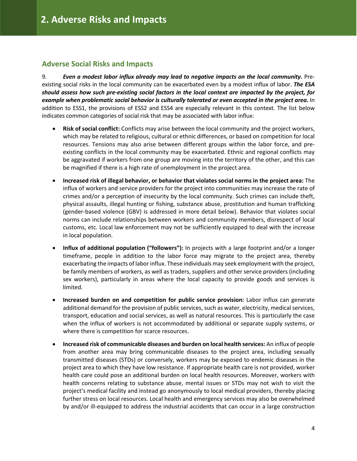## <span id="page-7-0"></span>**Adverse Social Risks and Impacts**

9. *Even a modest labor influx already may lead to negative impacts on the local community.* Preexisting social risks in the local community can be exacerbated even by a modest influx of labor. *The ESA should assess how such pre-existing social factors in the local context are impacted by the project, for example when problematic social behavior is culturally tolerated or even accepted in the project area.* In addition to ESS1, the provisions of ESS2 and ESS4 are especially relevant in this context. The list below indicates common categories of social risk that may be associated with labor influx:

- **Risk of social conflict:** Conflicts may arise between the local community and the project workers, which may be related to religious, cultural or ethnic differences, or based on competition for local resources. Tensions may also arise between different groups within the labor force, and preexisting conflicts in the local community may be exacerbated. Ethnic and regional conflicts may be aggravated if workers from one group are moving into the territory of the other, and this can be magnified if there is a high rate of unemployment in the project area.
- **Increased risk of illegal behavior, or behavior that violates social norms in the project area:** The influx of workers and service providers for the project into communities may increase the rate of crimes and/or a perception of insecurity by the local community. Such crimes can include theft, physical assaults, illegal hunting or fishing, substance abuse, prostitution and human trafficking (gender-based violence (GBV) is addressed in more detail below). Behavior that violates social norms can include relationships between workers and community members, disrespect of local customs, etc. Local law enforcement may not be sufficiently equipped to deal with the increase in local population.
- **Influx of additional population ("followers"):** In projects with a large footprint and/or a longer timeframe, people in addition to the labor force may migrate to the project area, thereby exacerbating the impacts of labor influx. These individuals may seek employment with the project, be family members of workers, as well as traders, suppliers and other service providers (including sex workers), particularly in areas where the local capacity to provide goods and services is limited.
- **Increased burden on and competition for public service provision:** Labor influx can generate additional demand for the provision of public services, such as water, electricity, medical services, transport, education and social services, as well as natural resources. This is particularly the case when the influx of workers is not accommodated by additional or separate supply systems, or where there is competition for scarce resources.
- **Increased risk of communicable diseases and burden on local health services:** An influx of people from another area may bring communicable diseases to the project area, including sexually transmitted diseases (STDs) or conversely, workers may be exposed to endemic diseases in the project area to which they have low resistance. If appropriate health care is not provided, worker health care could pose an additional burden on local health resources. Moreover, workers with health concerns relating to substance abuse, mental issues or STDs may not wish to visit the project's medical facility and instead go anonymously to local medical providers, thereby placing further stress on local resources. Local health and emergency services may also be overwhelmed by and/or ill-equipped to address the industrial accidents that can occur in a large construction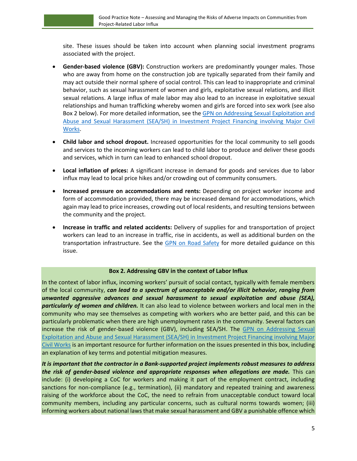site. These issues should be taken into account when planning social investment programs associated with the project.

- **Gender-based violence (GBV):** Construction workers are predominantly younger males. Those who are away from home on the construction job are typically separated from their family and may act outside their normal sphere of social control. This can lead to inappropriate and criminal behavior, such as sexual harassment of women and girls, exploitative sexual relations, and illicit sexual relations. A large influx of male labor may also lead to an increase in exploitative sexual relationships and human trafficking whereby women and girls are forced into sex work (see also Box 2 below). For more detailed information, see the GPN on Addressing Sexual [Exploitation](https://pubdocs.worldbank.org/en/632511583165318586/ESF-GPN-SEASH-in-major-civil-works.pdf) and Abuse and Sexual [Harassment](https://pubdocs.worldbank.org/en/632511583165318586/ESF-GPN-SEASH-in-major-civil-works.pdf) (SEA/SH) in Investment Project Financing involving Major Civil [Works.](https://pubdocs.worldbank.org/en/632511583165318586/ESF-GPN-SEASH-in-major-civil-works.pdf)
- **Child labor and school dropout.** Increased opportunities for the local community to sell goods and services to the incoming workers can lead to child labor to produce and deliver these goods and services, which in turn can lead to enhanced school dropout.
- **Local inflation of prices:** A significant increase in demand for goods and services due to labor influx may lead to local price hikes and/or crowding out of community consumers.
- **Increased pressure on accommodations and rents:** Depending on project worker income and form of accommodation provided, there may be increased demand for accommodations, which again may lead to price increases, crowding out of local residents, and resulting tensions between the community and the project.
- **Increase in traffic and related accidents:** Delivery of supplies for and transportation of project workers can lead to an increase in traffic, rise in accidents, as well as additional burden on the transportation infrastructure. See the GPN on Road [Safety](https://thedocs.worldbank.org/en/doc/648681570135612401-0290022019/original/GoodPracticeNoteRoadSafety.pdf) for more detailed guidance on this issue.

#### **Box 2. Addressing GBV in the context of Labor Influx**

In the context of labor influx, incoming workers' pursuit of social contact, typically with female members of the local community, *can lead to a spectrum of unacceptable and/or illicit behavior, ranging from unwanted aggressive advances and sexual harassment to sexual exploitation and abuse (SEA), particularly of women and children.* It can also lead to violence between workers and local men in the community who may see themselves as competing with workers who are better paid, and this can be particularly problematic when there are high unemployment rates in the community. Several factors can increase the risk of gender-based violence (GBV), including SEA/SH. The GPN on [Addressing](https://pubdocs.worldbank.org/en/632511583165318586/ESF-GPN-SEASH-in-major-civil-works.pdf) Sexual Exploitation and Abuse and Sexual [Harassment](https://pubdocs.worldbank.org/en/632511583165318586/ESF-GPN-SEASH-in-major-civil-works.pdf) (SEA/SH) in Investment Project Financing involving Major Civil [Works](https://pubdocs.worldbank.org/en/632511583165318586/ESF-GPN-SEASH-in-major-civil-works.pdf) is an important resource for further information on the issues presented in this box, including an explanation of key terms and potential mitigation measures.

*It is important that the contractor in a Bank-supported project implements robust measures to address the risk of gender-based violence and appropriate responses when allegations are made.* This can include: (i) developing a CoC for workers and making it part of the employment contract, including sanctions for non-compliance (e.g., termination), (ii) mandatory and repeated training and awareness raising of the workforce about the CoC, the need to refrain from unacceptable conduct toward local community members, including any particular concerns, such as cultural norms towards women; (iii) informing workers about national laws that make sexual harassment and GBV a punishable offence which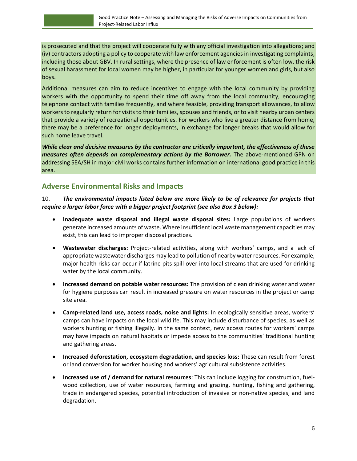is prosecuted and that the project will cooperate fully with any official investigation into allegations; and (iv) contractors adopting a policy to cooperate with law enforcement agencies in investigating complaints, including those about GBV. In rural settings, where the presence of law enforcement is often low, the risk of sexual harassment for local women may be higher, in particular for younger women and girls, but also boys.

Additional measures can aim to reduce incentives to engage with the local community by providing workers with the opportunity to spend their time off away from the local community, encouraging telephone contact with families frequently, and where feasible, providing transport allowances, to allow workers to regularly return for visits to their families, spouses and friends, or to visit nearby urban centers that provide a variety of recreational opportunities. For workers who live a greater distance from home, there may be a preference for longer deployments, in exchange for longer breaks that would allow for such home leave travel.

*While clear and decisive measures by the contractor are critically important, the effectiveness of these measures often depends on complementary actions by the Borrower.* The above-mentioned GPN on addressing SEA/SH in major civil works contains further information on international good practice in this area.

# <span id="page-9-0"></span>**Adverse Environmental Risks and Impacts**

## 10. *The environmental impacts listed below are more likely to be of relevance for projects that require a larger labor force with a bigger project footprint (see also Box 3 below):*

- **Inadequate waste disposal and illegal waste disposal sites:** Large populations of workers generate increased amounts of waste. Where insufficient local waste management capacities may exist, this can lead to improper disposal practices.
- **Wastewater discharges:** Project-related activities, along with workers' camps, and a lack of appropriate wastewater discharges may lead to pollution of nearby water resources. For example, major health risks can occur if latrine pits spill over into local streams that are used for drinking water by the local community.
- **Increased demand on potable water resources:** The provision of clean drinking water and water for hygiene purposes can result in increased pressure on water resources in the project or camp site area.
- **Camp-related land use, access roads, noise and lights:** In ecologically sensitive areas, workers' camps can have impacts on the local wildlife. This may include disturbance of species, as well as workers hunting or fishing illegally. In the same context, new access routes for workers' camps may have impacts on natural habitats or impede access to the communities' traditional hunting and gathering areas.
- **Increased deforestation, ecosystem degradation, and species loss:** These can result from forest or land conversion for worker housing and workers' agricultural subsistence activities.
- **Increased use of / demand for natural resources**: This can include logging for construction, fuelwood collection, use of water resources, farming and grazing, hunting, fishing and gathering, trade in endangered species, potential introduction of invasive or non-native species, and land degradation.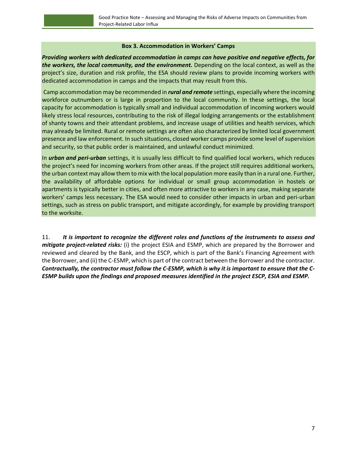#### **Box 3. Accommodation in Workers' Camps**

*Providing workers with dedicated accommodation in camps can have positive and negative effects, for the workers, the local community, and the environment.* Depending on the local context, as well as the project's size, duration and risk profile, the ESA should review plans to provide incoming workers with dedicated accommodation in camps and the impacts that may result from this.

Camp accommodation may be recommended in *rural and remote* settings, especially where the incoming workforce outnumbers or is large in proportion to the local community. In these settings, the local capacity for accommodation is typically small and individual accommodation of incoming workers would likely stress local resources, contributing to the risk of illegal lodging arrangements or the establishment of shanty towns and their attendant problems, and increase usage of utilities and health services, which may already be limited. Rural or remote settings are often also characterized by limited local government presence and law enforcement. In such situations, closed worker camps provide some level of supervision and security, so that public order is maintained, and unlawful conduct minimized.

In *urban and peri-urban* settings, it is usually less difficult to find qualified local workers, which reduces the project's need for incoming workers from other areas. If the project still requires additional workers, the urban context may allow them to mix with the local population more easily than in a rural one. Further, the availability of affordable options for individual or small group accommodation in hostels or apartments is typically better in cities, and often more attractive to workers in any case, making separate workers' camps less necessary. The ESA would need to consider other impacts in urban and peri-urban settings, such as stress on public transport, and mitigate accordingly, for example by providing transport to the worksite.

11. *It is important to recognize the different roles and functions of the instruments to assess and mitigate project-related risks:* (i) the project ESIA and ESMP, which are prepared by the Borrower and reviewed and cleared by the Bank, and the ESCP, which is part of the Bank's Financing Agreement with the Borrower, and (ii) the C-ESMP, which is part of the contract between the Borrower and the contractor. *Contractually, the contractor must follow the C-ESMP, which is why it is important to ensure that the C-ESMP builds upon the findings and proposed measures identified in the project ESCP, ESIA and ESMP.*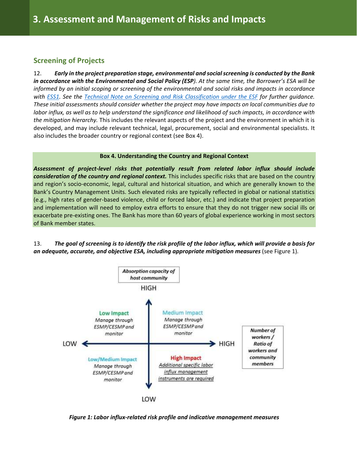## <span id="page-11-0"></span>**Screening of Projects**

12. *Early in the project preparation stage, environmental and social screening is conducted by the Bank in accordance with the Environmental and Social Policy (ESP). At the same time, the Borrower's ESA will be informed by an initial scoping or screening of the environmental and social risks and impacts in accordance with [ESS1.](https://www.worldbank.org/en/projects-operations/environmental-and-social-framework/brief/environmental-and-social-standards?cq_ck=1522164538151#ess1) See the Technical Note on [Screening and Risk Classification under the ESF](https://wbdocs.worldbank.org/wbdocs/drl/objectId/090224b087eb09bb) for further guidance. These initial assessments should consider whether the project may have impacts on local communities due to labor influx, as well as to help understand the significance and likelihood of such impacts, in accordance with the mitigation hierarchy.* This includes the relevant aspects of the project and the environment in which it is developed, and may include relevant technical, legal, procurement, social and environmental specialists. It also includes the broader country or regional context (see Box 4).

#### **Box 4. Understanding the Country and Regional Context**

*Assessment of project-level risks that potentially result from related labor influx should include consideration of the country and regional context.* This includes specific risks that are based on the country and region's socio-economic, legal, cultural and historical situation, and which are generally known to the Bank's Country Management Units. Such elevated risks are typically reflected in global or national statistics (e.g., high rates of gender-based violence, child or forced labor, etc.) and indicate that project preparation and implementation will need to employ extra efforts to ensure that they do not trigger new social ills or exacerbate pre-existing ones. The Bank has more than 60 years of global experience working in most sectors of Bank member states.

13. *The goal of screening is to identify the risk profile of the labor influx, which will provide a basis for an adequate, accurate, and objective ESA, including appropriate mitigation measures* (see Figure 1)*.*



*Figure 1: Labor influx-related risk profile and indicative management measures*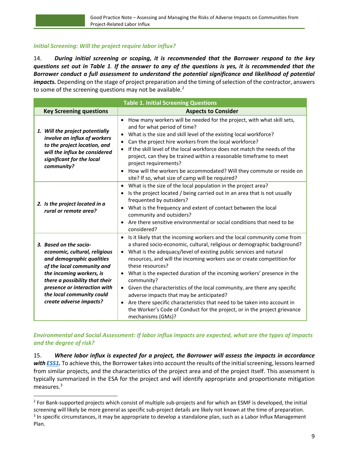## *Initial Screening: Will the project require labor influx?*

14. *During initial screening or scoping, it is recommended that the Borrower respond to the key questions set out in Table 1. If the answer to any of the questions is yes, it is recommended that the Borrower conduct a full assessment to understand the potential significance and likelihood of potential impacts.* Depending on the stage of project preparation and the timing of selection of the contractor, answers to some of the screening questions may not be available.<sup>2</sup>

| <b>Table 1. Initial Screening Questions</b>                                                                                                                                                                                                                              |                                                                                                                                                                                                                                                                                                                                                                                                                                                                                                                                                                                                                                                                                                                                          |  |  |  |
|--------------------------------------------------------------------------------------------------------------------------------------------------------------------------------------------------------------------------------------------------------------------------|------------------------------------------------------------------------------------------------------------------------------------------------------------------------------------------------------------------------------------------------------------------------------------------------------------------------------------------------------------------------------------------------------------------------------------------------------------------------------------------------------------------------------------------------------------------------------------------------------------------------------------------------------------------------------------------------------------------------------------------|--|--|--|
| <b>Key Screening questions</b>                                                                                                                                                                                                                                           | <b>Aspects to Consider</b>                                                                                                                                                                                                                                                                                                                                                                                                                                                                                                                                                                                                                                                                                                               |  |  |  |
| 1. Will the project potentially<br>involve an influx of workers<br>to the project location, and<br>will the influx be considered<br>significant for the local<br>community?                                                                                              | How many workers will be needed for the project, with what skill sets,<br>$\bullet$<br>and for what period of time?<br>What is the size and skill level of the existing local workforce?<br>Can the project hire workers from the local workforce?<br>If the skill level of the local workforce does not match the needs of the<br>$\bullet$<br>project, can they be trained within a reasonable timeframe to meet<br>project requirements?<br>How will the workers be accommodated? Will they commute or reside on<br>site? If so, what size of camp will be required?                                                                                                                                                                  |  |  |  |
| 2. Is the project located in a<br>rural or remote area?                                                                                                                                                                                                                  | What is the size of the local population in the project area?<br>Is the project located / being carried out in an area that is not usually<br>frequented by outsiders?<br>• What is the frequency and extent of contact between the local<br>community and outsiders?<br>Are there sensitive environmental or social conditions that need to be<br>considered?                                                                                                                                                                                                                                                                                                                                                                           |  |  |  |
| 3. Based on the socio-<br>economic, cultural, religious<br>and demographic qualities<br>of the local community and<br>the incoming workers, is<br>there a possibility that their<br>presence or interaction with<br>the local community could<br>create adverse impacts? | Is it likely that the incoming workers and the local community come from<br>a shared socio-economic, cultural, religious or demographic background?<br>• What is the adequacy/level of existing public services and natural<br>resources, and will the incoming workers use or create competition for<br>these resources?<br>• What is the expected duration of the incoming workers' presence in the<br>community?<br>• Given the characteristics of the local community, are there any specific<br>adverse impacts that may be anticipated?<br>Are there specific characteristics that need to be taken into account in<br>$\bullet$<br>the Worker's Code of Conduct for the project, or in the project grievance<br>mechanisms (GMs)? |  |  |  |

*Environmental and Social Assessment: If labor influx impacts are expected, what are the types of impacts and the degree of risk?*

15. *Where labor influx is expected for a project, the Borrower will assess the impacts in accordance*  with **ESS1**. To achieve this, the Borrower takes into account the results of the initial screening, lessons learned from similar projects, and the characteristics of the project area and of the project itself. This assessment is typically summarized in the ESA for the project and will identify appropriate and proportionate mitigation measures.<sup>3</sup>

<sup>&</sup>lt;sup>2</sup> For Bank-supported projects which consist of multiple sub-projects and for which an ESMF is developed, the initial screening will likely be more general as specific sub-project details are likely not known at the time of preparation.  $3$  In specific circumstances, it may be appropriate to develop a standalone plan, such as a Labor Influx Management Plan.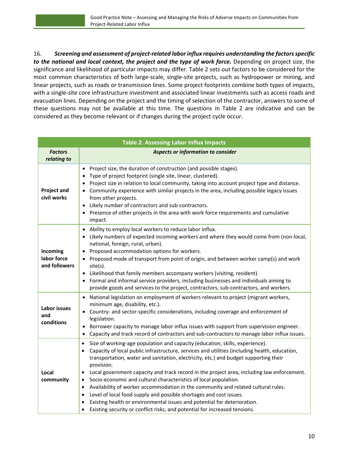16. *Screening and assessment of project-related labor influx requires understanding the factors specific to the national and local context, the project and the type of work force.* Depending on project size, the significance and likelihood of particular impacts may differ. Table 2 sets out factors to be considered for the most common characteristics of both large-scale, single-site projects, such as hydropower or mining, and linear projects, such as roads or transmission lines. Some project footprints combine both types of impacts, with a single-site core infrastructure investment and associated linear investments such as access roads and evacuation lines. Depending on the project and the timing of selection of the contractor, answers to some of these questions may not be available at this time. The questions in Table 2 are indicative and can be considered as they become relevant or if changes during the project cycle occur.

| <b>Table 2. Assessing Labor Influx Impacts</b> |                                                                                                                                                                                                                                                                                                                                                                                                                                                                                                                                                                                                                                                                                                                                                                                                                                                                                    |  |  |
|------------------------------------------------|------------------------------------------------------------------------------------------------------------------------------------------------------------------------------------------------------------------------------------------------------------------------------------------------------------------------------------------------------------------------------------------------------------------------------------------------------------------------------------------------------------------------------------------------------------------------------------------------------------------------------------------------------------------------------------------------------------------------------------------------------------------------------------------------------------------------------------------------------------------------------------|--|--|
| <b>Factors</b><br>relating to                  | Aspects or information to consider                                                                                                                                                                                                                                                                                                                                                                                                                                                                                                                                                                                                                                                                                                                                                                                                                                                 |  |  |
| <b>Project and</b><br>civil works              | Project size, the duration of construction (and possible stages).<br>Type of project footprint (single site, linear, clustered).<br>Project size in relation to local community, taking into account project type and distance.<br>Community experience with similar projects in the area, including possible legacy issues<br>from other projects.<br>Likely number of contractors and sub-contractors.<br>$\bullet$<br>Presence of other projects in the area with work force requirements and cumulative<br>impact.                                                                                                                                                                                                                                                                                                                                                             |  |  |
| Incoming<br>labor force<br>and followers       | Ability to employ local workers to reduce labor influx.<br>$\bullet$<br>Likely numbers of expected incoming workers and where they would come from (non-local,<br>national, foreign, rural, urban).<br>Proposed accommodation options for workers.<br>$\bullet$<br>• Proposed mode of transport from point of origin, and between worker camp(s) and work<br>site(s).<br>• Likelihood that family members accompany workers (visiting, resident).<br>• Formal and informal service providers, including businesses and individuals aiming to<br>provide goods and services to the project, contractors, sub-contractors, and workers.                                                                                                                                                                                                                                              |  |  |
| Labor issues<br>and<br>conditions              | National legislation on employment of workers relevant to project (migrant workers,<br>$\bullet$<br>minimum age, disability, etc.).<br>Country- and sector-specific considerations, including coverage and enforcement of<br>$\bullet$<br>legislation.<br>Borrower capacity to manage labor influx issues with support from supervision engineer.<br>٠<br>Capacity and track record of contractors and sub-contractors to manage labor influx issues.                                                                                                                                                                                                                                                                                                                                                                                                                              |  |  |
| Local<br>community                             | Size of working-age population and capacity (education, skills, experience).<br>$\bullet$<br>Capacity of local public infrastructure, services and utilities (including health, education,<br>$\bullet$<br>transportation, water and sanitation, electricity, etc.) and budget supporting their<br>provision.<br>Local government capacity and track record in the project area, including law enforcement.<br>$\bullet$<br>Socio-economic and cultural characteristics of local population.<br>$\bullet$<br>Availability of worker accommodation in the community and related cultural rules.<br>$\bullet$<br>Level of local food supply and possible shortages and cost issues.<br>$\bullet$<br>Existing health or environmental issues and potential for deterioration.<br>$\bullet$<br>Existing security or conflict risks, and potential for increased tensions.<br>$\bullet$ |  |  |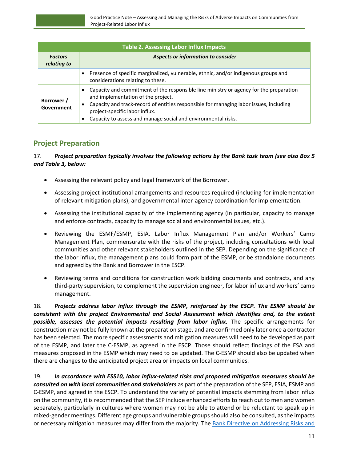| <b>Table 2. Assessing Labor Influx Impacts</b> |                                                                                                                                                                                                                                                                                                                                |  |  |
|------------------------------------------------|--------------------------------------------------------------------------------------------------------------------------------------------------------------------------------------------------------------------------------------------------------------------------------------------------------------------------------|--|--|
| <b>Factors</b><br>relating to                  | Aspects or information to consider                                                                                                                                                                                                                                                                                             |  |  |
|                                                | Presence of specific marginalized, vulnerable, ethnic, and/or indigenous groups and<br>considerations relating to these.                                                                                                                                                                                                       |  |  |
| Borrower /<br>Government                       | Capacity and commitment of the responsible line ministry or agency for the preparation<br>and implementation of the project.<br>Capacity and track-record of entities responsible for managing labor issues, including<br>٠<br>project-specific labor influx.<br>Capacity to assess and manage social and environmental risks. |  |  |

# <span id="page-14-0"></span>**Project Preparation**

## 17. *Project preparation typically involves the following actions by the Bank task team (see also Box 5 and Table 3, below:*

- Assessing the relevant policy and legal framework of the Borrower.
- Assessing project institutional arrangements and resources required (including for implementation of relevant mitigation plans), and governmental inter-agency coordination for implementation.
- Assessing the institutional capacity of the implementing agency (in particular, capacity to manage and enforce contracts, capacity to manage social and environmental issues, etc.).
- Reviewing the ESMF/ESMP, ESIA, Labor Influx Management Plan and/or Workers' Camp Management Plan, commensurate with the risks of the project, including consultations with local communities and other relevant stakeholders outlined in the SEP. Depending on the significance of the labor influx, the management plans could form part of the ESMP, or be standalone documents and agreed by the Bank and Borrower in the ESCP.
- Reviewing terms and conditions for construction work bidding documents and contracts, and any third-party supervision, to complement the supervision engineer, for labor influx and workers' camp management.

18. *Projects address labor influx through the ESMP, reinforced by the ESCP. The ESMP should be consistent with the project Environmental and Social Assessment which identifies and, to the extent possible, assesses the potential impacts resulting from labor influx.* The specific arrangements for construction may not be fully known at the preparation stage, and are confirmed only later once a contractor has been selected. The more specific assessments and mitigation measures will need to be developed as part of the ESMP, and later the C-ESMP, as agreed in the ESCP. Those should reflect findings of the ESA and measures proposed in the ESMP which may need to be updated. The C-ESMP should also be updated when there are changes to the anticipated project area or impacts on local communities.

19. *In accordance with ESS10, labor influx-related risks and proposed mitigation measures should be consulted on with local communities and stakeholders* as part of the preparation of the SEP, ESIA, ESMP and C-ESMP, and agreed in the ESCP. To understand the variety of potential impacts stemming from labor influx on the community, it is recommended that the SEP include enhanced efforts to reach out to men and women separately, particularly in cultures where women may not be able to attend or be reluctant to speak up in mixed-gender meetings. Different age groups and vulnerable groups should also be consulted, as the impacts or necessary mitigation measures may differ from the majority. The [Bank Directive on Addressing Risks and](https://worldbankgroup.sharepoint.com/sites/ppfonline/PPFDocuments/9598117e421d406fb065d3dfc89c2d78.pdf)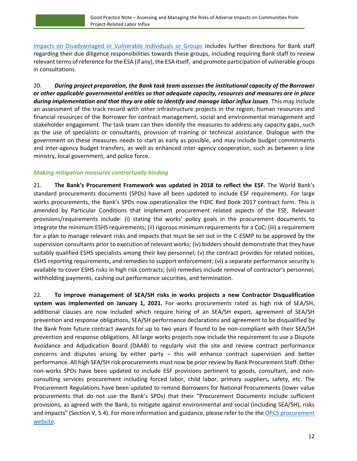[Impacts on Disadvantaged or Vulnerable Individuals or Groups](https://worldbankgroup.sharepoint.com/sites/ppfonline/PPFDocuments/9598117e421d406fb065d3dfc89c2d78.pdf) includes further directions for Bank staff regarding their due diligence responsibilities towards these groups, including requiring Bank staff to review relevant terms of reference for the ESA (if any), the ESA itself, and promote participation of vulnerable groups in consultations.

20. *During project preparation, the Bank task team assesses the institutional capacity of the Borrower or other applicable governmental entities so that adequate capacity, resources and measures are in place during implementation and that they are able to identify and manage labor influx issues.* This may include an assessment of the track record with other infrastructure projects in the region, human resources and financial resources of the Borrower for contract management, social and environmental management and stakeholder engagement. The task team can then identify the measures to address any capacity gaps, such as the use of specialists or consultants, provision of training or technical assistance. Dialogue with the government on these measures needs to start as early as possible, and may include budget commitments and inter-agency budget transfers, as well as enhanced inter-agency cooperation, such as between a line ministry, local government, and police force.

#### *Making mitigation measures contractually binding*

21. **The Bank's Procurement Framework was updated in 2018 to reflect the ESF***.* The World Bank's standard procurements documents (SPDs) have all been updated to include ESF requirements. For large works procurements, the Bank's SPDs now operationalize the FIDIC Red Book 2017 contract form. This is amended by Particular Conditions that implement procurement related aspects of the ESF. Relevant provisions/requirements include: (i) stating the works' policy goals in the procurement documents to integrate the minimum ESHS requirements; (ii) rigorous minimum requirements for a CoC; (iii) a requirement for a plan to manage relevant risks and impacts that must be set out in the C-ESMP to be approved by the supervision consultants prior to execution of relevant works; (iv) bidders should demonstrate that they have suitably qualified ESHS specialists among their key personnel; (v) the contract provides for related notices, ESHS reporting requirements, and remedies to support enforcement; (vi) a separate performance security is available to cover ESHS risks in high risk contracts; (vii) remedies include removal of contractor's personnel, withholding payments, cashing out performance securities, and termination.

22. **To improve management of SEA/SH risks in works projects a new Contractor Disqualification system was implemented on January 1, 2021.** For works procurements rated as high risk of SEA/SH, additional clauses are now included which require hiring of an SEA/SH expert, agreement of SEA/SH prevention and response obligations, SEA/SH performance declarations and agreement to be disqualified by the Bank from future contract awards for up to two years if found to be non-compliant with their SEA/SH prevention and response obligations. All large works projects now include the requirement to use a Dispute Avoidance and Adjudication Board (DAAB) to regularly visit the site and review contract performance concerns and disputes arising by either party – this will enhance contract supervision and better performance. All high SEA/SH risk procurements must now be prior review by Bank Procurement Staff. Other non-works SPDs have been updated to include ESF provisions pertinent to goods, consultant, and nonconsulting services procurement including forced labor, child labor, primary suppliers, safety, etc. The Procurement Regulations have been updated to remind Borrowers for National Procurements (lower value procurements that do not use the Bank's SPDs) that their "Procurement Documents include sufficient provisions, as agreed with the Bank, to mitigate against environmental and social (including SEA/SH), risks and impacts" (Section V, 5.4). For more information and guidance, please refer to the the OPCS procurement [website.](http://www.worldbank.org/en/projects-operations/products-and-services/procurement-projects-programs)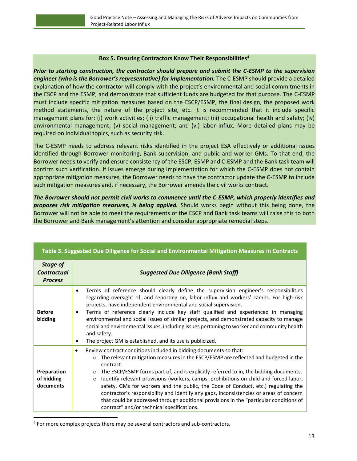#### **Box 5. Ensuring Contractors Know Their Responsibilities<sup>4</sup>**

<span id="page-16-0"></span>*Prior to starting construction, the contractor should prepare and submit the C-ESMP to the supervision engineer (who is the Borrower's representative) for implementation.* The C-ESMP should provide a detailed explanation of how the contractor will comply with the project's environmental and social commitments in the ESCP and the ESMP, and demonstrate that sufficient funds are budgeted for that purpose. The C-ESMP must include specific mitigation measures based on the ESCP/ESMP, the final design, the proposed work method statements, the nature of the project site, etc. It is recommended that it include specific management plans for: (i) work activities; (ii) traffic management; (iii) occupational health and safety; (iv) environmental management; (v) social management; and (vi) labor influx. More detailed plans may be required on individual topics, such as security risk.

The C-ESMP needs to address relevant risks identified in the project ESA effectively or additional issues identified through Borrower monitoring, Bank supervision, and public and worker GMs. To that end, the Borrower needs to verify and ensure consistency of the ESCP, ESMP and C-ESMP and the Bank task team will confirm such verification. If issues emerge during implementation for which the C-ESMP does not contain appropriate mitigation measures, the Borrower needs to have the contractor update the C-ESMP to include such mitigation measures and, if necessary, the Borrower amends the civil works contract.

*The Borrower should not permit civil works to commence until the C-ESMP, which properly identifies and proposes risk mitigation measures, is being applied.* Should works begin without this being done, the Borrower will not be able to meet the requirements of the ESCP and Bank task teams will raise this to both the Borrower and Bank management's attention and consider appropriate remedial steps.

| Table 3. Juggested Due Dingenee for Joual and Environmental Intigation Incasures in Contracts |                                                                                                                                                                                                                                                                                                                                                                                                                                                                                                                                                                                                                                                                                                                      |  |  |  |
|-----------------------------------------------------------------------------------------------|----------------------------------------------------------------------------------------------------------------------------------------------------------------------------------------------------------------------------------------------------------------------------------------------------------------------------------------------------------------------------------------------------------------------------------------------------------------------------------------------------------------------------------------------------------------------------------------------------------------------------------------------------------------------------------------------------------------------|--|--|--|
| <b>Stage of</b><br><b>Contractual</b><br><b>Process</b>                                       | <b>Suggested Due Diligence (Bank Staff)</b>                                                                                                                                                                                                                                                                                                                                                                                                                                                                                                                                                                                                                                                                          |  |  |  |
| <b>Before</b><br>bidding                                                                      | Terms of reference should clearly define the supervision engineer's responsibilities<br>$\bullet$<br>regarding oversight of, and reporting on, labor influx and workers' camps. For high-risk<br>projects, have independent environmental and social supervision.<br>Terms of reference clearly include key staff qualified and experienced in managing<br>٠<br>environmental and social issues of similar projects, and demonstrated capacity to manage<br>social and environmental issues, including issues pertaining to worker and community health<br>and safety.<br>The project GM is established, and its use is publicized.<br>٠                                                                             |  |  |  |
| Preparation<br>of bidding<br>documents                                                        | Review contract conditions included in bidding documents so that:<br>٠<br>The relevant mitigation measures in the ESCP/ESMP are reflected and budgeted in the<br>$\circ$<br>contract.<br>The ESCP/ESMP forms part of, and is explicitly referred to in, the bidding documents.<br>$\circ$<br>Identify relevant provisions (workers, camps, prohibitions on child and forced labor,<br>$\circ$<br>safety, GMs for workers and the public, the Code of Conduct, etc.) regulating the<br>contractor's responsibility and identify any gaps, inconsistencies or areas of concern<br>that could be addressed through additional provisions in the "particular conditions of<br>contract" and/or technical specifications. |  |  |  |

**Table 3. Suggested Due Diligence for Social and Environmental Mitigation Measures in Contracts**

<sup>&</sup>lt;sup>4</sup> For more complex projects there may be several contractors and sub-contractors.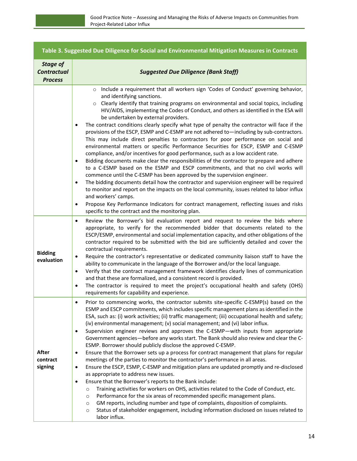|                                                         | Table 3. Suggested Due Diligence for Social and Environmental Mitigation Measures in Contracts                                                                                                                                                                                                                                                                                                                                                                                                                                                                                                                                                                                                                                                                                                                                                                                                                                                                                                                                                                                                                                                                                                                                                                                                                                                                                                                                                                                                |  |  |  |
|---------------------------------------------------------|-----------------------------------------------------------------------------------------------------------------------------------------------------------------------------------------------------------------------------------------------------------------------------------------------------------------------------------------------------------------------------------------------------------------------------------------------------------------------------------------------------------------------------------------------------------------------------------------------------------------------------------------------------------------------------------------------------------------------------------------------------------------------------------------------------------------------------------------------------------------------------------------------------------------------------------------------------------------------------------------------------------------------------------------------------------------------------------------------------------------------------------------------------------------------------------------------------------------------------------------------------------------------------------------------------------------------------------------------------------------------------------------------------------------------------------------------------------------------------------------------|--|--|--|
| <b>Stage of</b><br><b>Contractual</b><br><b>Process</b> | <b>Suggested Due Diligence (Bank Staff)</b>                                                                                                                                                                                                                                                                                                                                                                                                                                                                                                                                                                                                                                                                                                                                                                                                                                                                                                                                                                                                                                                                                                                                                                                                                                                                                                                                                                                                                                                   |  |  |  |
|                                                         | o Include a requirement that all workers sign 'Codes of Conduct' governing behavior,<br>and identifying sanctions.<br>Clearly identify that training programs on environmental and social topics, including<br>HIV/AIDS, implementing the Codes of Conduct, and others as identified in the ESA will<br>be undertaken by external providers.<br>The contract conditions clearly specify what type of penalty the contractor will face if the<br>$\bullet$<br>provisions of the ESCP, ESMP and C-ESMP are not adhered to—including by sub-contractors.<br>This may include direct penalties to contractors for poor performance on social and<br>environmental matters or specific Performance Securities for ESCP, ESMP and C-ESMP<br>compliance, and/or incentives for good performance, such as a low accident rate.<br>Bidding documents make clear the responsibilities of the contractor to prepare and adhere<br>$\bullet$<br>to a C-ESMP based on the ESMP and ESCP commitments, and that no civil works will<br>commence until the C-ESMP has been approved by the supervision engineer.<br>The bidding documents detail how the contractor and supervision engineer will be required<br>$\bullet$<br>to monitor and report on the impacts on the local community, issues related to labor influx<br>and workers' camps.<br>Propose Key Performance Indicators for contract management, reflecting issues and risks<br>$\bullet$<br>specific to the contract and the monitoring plan. |  |  |  |
| <b>Bidding</b><br>evaluation                            | Review the Borrower's bid evaluation report and request to review the bids where<br>$\bullet$<br>appropriate, to verify for the recommended bidder that documents related to the<br>ESCP/ESMP, environmental and social implementation capacity, and other obligations of the<br>contractor required to be submitted with the bid are sufficiently detailed and cover the<br>contractual requirements.<br>Require the contractor's representative or dedicated community liaison staff to have the<br>$\bullet$<br>ability to communicate in the language of the Borrower and/or the local language.<br>Verify that the contract management framework identifies clearly lines of communication<br>$\bullet$<br>and that these are formalized, and a consistent record is provided.<br>The contractor is required to meet the project's occupational health and safety (OHS)<br>$\bullet$<br>requirements for capability and experience.                                                                                                                                                                                                                                                                                                                                                                                                                                                                                                                                                      |  |  |  |
| After<br>contract<br>signing                            | Prior to commencing works, the contractor submits site-specific C-ESMP(s) based on the<br>$\bullet$<br>ESMP and ESCP commitments, which includes specific management plans as identified in the<br>ESA, such as: (i) work activities; (ii) traffic management; (iii) occupational health and safety;<br>(iv) environmental management; (v) social management; and (vi) labor influx.<br>Supervision engineer reviews and approves the C-ESMP-with inputs from appropriate<br>$\bullet$<br>Government agencies-before any works start. The Bank should also review and clear the C-<br>ESMP. Borrower should publicly disclose the approved C-ESMP.<br>Ensure that the Borrower sets up a process for contract management that plans for regular<br>$\bullet$<br>meetings of the parties to monitor the contractor's performance in all areas.<br>Ensure the ESCP, ESMP, C-ESMP and mitigation plans are updated promptly and re-disclosed<br>$\bullet$<br>as appropriate to address new issues.<br>Ensure that the Borrower's reports to the Bank include:<br>$\bullet$<br>Training activities for workers on OHS, activities related to the Code of Conduct, etc.<br>$\circ$<br>Performance for the six areas of recommended specific management plans.<br>$\circ$<br>GM reports, including number and type of complaints, disposition of complaints.<br>$\circ$<br>Status of stakeholder engagement, including information disclosed on issues related to<br>$\circ$<br>labor influx.       |  |  |  |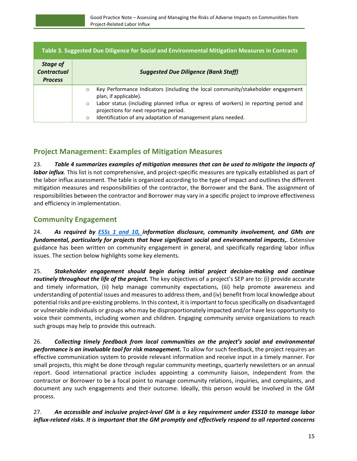| Table 3. Suggested Due Diligence for Social and Environmental Mitigation Measures in Contracts |                                                                                                                                                                                                                      |  |  |  |
|------------------------------------------------------------------------------------------------|----------------------------------------------------------------------------------------------------------------------------------------------------------------------------------------------------------------------|--|--|--|
| Stage of<br><b>Contractual</b><br><b>Process</b>                                               | <b>Suggested Due Diligence (Bank Staff)</b>                                                                                                                                                                          |  |  |  |
|                                                                                                | Key Performance Indicators (including the local community/stakeholder engagement<br>$\circ$<br>plan, if applicable).                                                                                                 |  |  |  |
|                                                                                                | Labor status (including planned influx or egress of workers) in reporting period and<br>$\circ$<br>projections for next reporting period.<br>Identification of any adaptation of management plans needed.<br>$\circ$ |  |  |  |

# **Project Management: Examples of Mitigation Measures**

23. *Table 4 summarizes examples of mitigation measures that can be used to mitigate the impacts of labor influx.* This list is not comprehensive, and project-specific measures are typically established as part of the labor influx assessment. The table is organized according to the type of impact and outlines the different mitigation measures and responsibilities of the contractor, the Borrower and the Bank. The assignment of responsibilities between the contractor and Borrower may vary in a specific project to improve effectiveness and efficiency in implementation.

# <span id="page-18-0"></span>**Community Engagement**

24. *As required by [ESSs](https://www.worldbank.org/en/projects-operations/environmental-and-social-framework/brief/environmental-and-social-standards?cq_ck=1522164538151#ess1) 1 and 10, information disclosure, community involvement, and GMs are fundamental, particularly for projects that have significant social and environmental impacts,.* Extensive guidance has been written on community engagement in general, and specifically regarding labor influx issues. The section below highlights some key elements.

25. *Stakeholder engagement should begin during initial project decision-making and continue routinely throughout the life of the project.* The key objectives of a project's SEP are to: (i) provide accurate and timely information, (ii) help manage community expectations, (iii) help promote awareness and understanding of potential issues and measures to address them, and (iv) benefit from local knowledge about potential risks and pre-existing problems. In this context, it is important to focusspecifically on disadvantaged or vulnerable individuals or groups who may be disproportionately impacted and/or have less opportunity to voice their comments, including women and children. Engaging community service organizations to reach such groups may help to provide this outreach.

26. *Collecting timely feedback from local communities on the project's social and environmental performance is an invaluable tool for risk management.* To allow for such feedback, the project requires an effective communication system to provide relevant information and receive input in a timely manner. For small projects, this might be done through regular community meetings, quarterly newsletters or an annual report. Good international practice includes appointing a community liaison, independent from the contractor or Borrower to be a focal point to manage community relations, inquiries, and complaints, and document any such engagements and their outcome. Ideally, this person would be involved in the GM process.

27. *An accessible and inclusive project-level GM is a key requirement under ESS10 to manage labor influx-related risks. It is important that the GM promptly and effectively respond to all reported concerns*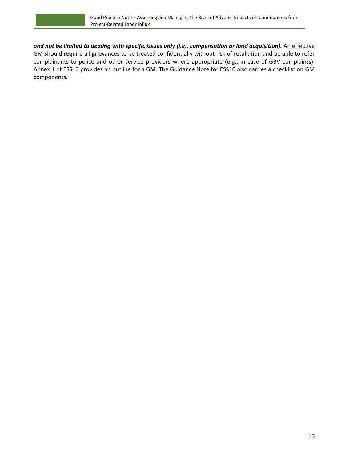*and not be limited to dealing with specific issues only (i.e., compensation or land acquisition).* An effective GM should require all grievances to be treated confidentially without risk of retaliation and be able to refer complainants to police and other service providers where appropriate (e.g., in case of GBV complaints). Annex 1 of ESS10 provides an outline for a GM. The Guidance Note for ESS10 also carries a checklist on GM components.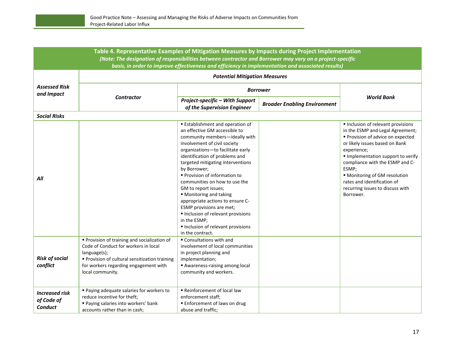| Table 4. Representative Examples of Mitigation Measures by Impacts during Project Implementation                                                                                                               |                                                                                                                                                                                                                 |                                                                                                                                                                                                                                                                                                                                                                                                                                                                                                                                                                       |                                     |                                                                                                                                                                                                                                                                                                                                                           |  |
|----------------------------------------------------------------------------------------------------------------------------------------------------------------------------------------------------------------|-----------------------------------------------------------------------------------------------------------------------------------------------------------------------------------------------------------------|-----------------------------------------------------------------------------------------------------------------------------------------------------------------------------------------------------------------------------------------------------------------------------------------------------------------------------------------------------------------------------------------------------------------------------------------------------------------------------------------------------------------------------------------------------------------------|-------------------------------------|-----------------------------------------------------------------------------------------------------------------------------------------------------------------------------------------------------------------------------------------------------------------------------------------------------------------------------------------------------------|--|
| (Note: The designation of responsibilities between contractor and Borrower may vary on a project-specific<br>basis, in order to improve effectiveness and efficiency in implementation and associated results) |                                                                                                                                                                                                                 |                                                                                                                                                                                                                                                                                                                                                                                                                                                                                                                                                                       |                                     |                                                                                                                                                                                                                                                                                                                                                           |  |
|                                                                                                                                                                                                                |                                                                                                                                                                                                                 | <b>Potential Mitigation Measures</b>                                                                                                                                                                                                                                                                                                                                                                                                                                                                                                                                  |                                     |                                                                                                                                                                                                                                                                                                                                                           |  |
| <b>Assessed Risk</b>                                                                                                                                                                                           |                                                                                                                                                                                                                 |                                                                                                                                                                                                                                                                                                                                                                                                                                                                                                                                                                       |                                     |                                                                                                                                                                                                                                                                                                                                                           |  |
| and Impact                                                                                                                                                                                                     |                                                                                                                                                                                                                 | <b>Borrower</b>                                                                                                                                                                                                                                                                                                                                                                                                                                                                                                                                                       |                                     | <b>World Bank</b>                                                                                                                                                                                                                                                                                                                                         |  |
|                                                                                                                                                                                                                | <b>Contractor</b>                                                                                                                                                                                               | Project-specific - With Support                                                                                                                                                                                                                                                                                                                                                                                                                                                                                                                                       | <b>Broader Enabling Environment</b> |                                                                                                                                                                                                                                                                                                                                                           |  |
|                                                                                                                                                                                                                |                                                                                                                                                                                                                 | of the Supervision Engineer                                                                                                                                                                                                                                                                                                                                                                                                                                                                                                                                           |                                     |                                                                                                                                                                                                                                                                                                                                                           |  |
| <b>Social Risks</b>                                                                                                                                                                                            |                                                                                                                                                                                                                 |                                                                                                                                                                                                                                                                                                                                                                                                                                                                                                                                                                       |                                     |                                                                                                                                                                                                                                                                                                                                                           |  |
| All                                                                                                                                                                                                            |                                                                                                                                                                                                                 | <b>Establishment and operation of</b><br>an effective GM accessible to<br>community members-ideally with<br>involvement of civil society<br>organizations-to facilitate early<br>identification of problems and<br>targeted mitigating interventions<br>by Borrower;<br>■ Provision of information to<br>communities on how to use the<br>GM to report issues;<br>■ Monitoring and taking<br>appropriate actions to ensure C-<br>ESMP provisions are met;<br>Inclusion of relevant provisions<br>in the ESMP;<br>Inclusion of relevant provisions<br>in the contract. |                                     | Inclusion of relevant provisions<br>in the ESMP and Legal Agreement;<br>Provision of advice on expected<br>or likely issues based on Bank<br>experience;<br>Implementation support to verify<br>compliance with the ESMP and C-<br>ESMP;<br>■ Monitoring of GM resolution<br>rates and identification of<br>recurring issues to discuss with<br>Borrower. |  |
| <b>Risk of social</b><br>conflict                                                                                                                                                                              | Provision of training and socialization of<br>Code of Conduct for workers in local<br>language(s);<br>Provision of cultural sensitization training<br>for workers regarding engagement with<br>local community. | ■ Consultations with and<br>involvement of local communities<br>in project planning and<br>implementation;<br>Awareness-raising among local<br>community and workers.                                                                                                                                                                                                                                                                                                                                                                                                 |                                     |                                                                                                                                                                                                                                                                                                                                                           |  |
| <b>Increased risk</b><br>of Code of<br>Conduct                                                                                                                                                                 | ■ Paying adequate salaries for workers to<br>reduce incentive for theft;<br>Paying salaries into workers' bank<br>accounts rather than in cash:                                                                 | Reinforcement of local law<br>enforcement staff;<br>■ Enforcement of laws on drug<br>abuse and traffic:                                                                                                                                                                                                                                                                                                                                                                                                                                                               |                                     |                                                                                                                                                                                                                                                                                                                                                           |  |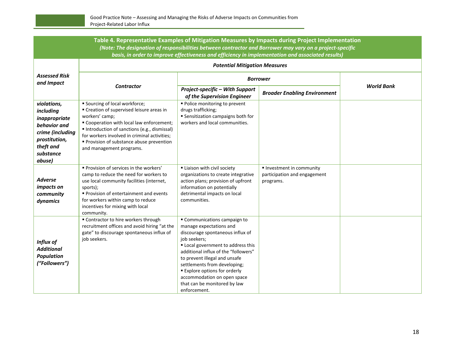| Table 4. Representative Examples of Mitigation Measures by Impacts during Project Implementation<br>(Note: The designation of responsibilities between contractor and Borrower may vary on a project-specific<br>basis, in order to improve effectiveness and efficiency in implementation and associated results) |                                                                                                                                                                                                                                                                                                                  |                                                                                                                                                                                                                                                                                                                                                                                 |                                                                      |                   |  |
|--------------------------------------------------------------------------------------------------------------------------------------------------------------------------------------------------------------------------------------------------------------------------------------------------------------------|------------------------------------------------------------------------------------------------------------------------------------------------------------------------------------------------------------------------------------------------------------------------------------------------------------------|---------------------------------------------------------------------------------------------------------------------------------------------------------------------------------------------------------------------------------------------------------------------------------------------------------------------------------------------------------------------------------|----------------------------------------------------------------------|-------------------|--|
|                                                                                                                                                                                                                                                                                                                    |                                                                                                                                                                                                                                                                                                                  | <b>Potential Mitigation Measures</b>                                                                                                                                                                                                                                                                                                                                            |                                                                      |                   |  |
| <b>Assessed Risk</b><br>and Impact                                                                                                                                                                                                                                                                                 |                                                                                                                                                                                                                                                                                                                  | <b>Borrower</b>                                                                                                                                                                                                                                                                                                                                                                 |                                                                      |                   |  |
|                                                                                                                                                                                                                                                                                                                    | <b>Contractor</b>                                                                                                                                                                                                                                                                                                | Project-specific - With Support<br>of the Supervision Engineer                                                                                                                                                                                                                                                                                                                  | <b>Broader Enabling Environment</b>                                  | <b>World Bank</b> |  |
| violations,<br>including<br>inappropriate<br>behavior and<br>crime (including<br>prostitution,<br>theft and<br>substance<br>abuse)                                                                                                                                                                                 | ■ Sourcing of local workforce;<br>■ Creation of supervised leisure areas in<br>workers' camp;<br>" Cooperation with local law enforcement;<br>Introduction of sanctions (e.g., dismissal)<br>for workers involved in criminal activities;<br>Provision of substance abuse prevention<br>and management programs. | · Police monitoring to prevent<br>drugs trafficking;<br><b>Sensitization campaigns both for</b><br>workers and local communities.                                                                                                                                                                                                                                               |                                                                      |                   |  |
| <b>Adverse</b><br>impacts on<br>community<br>dynamics                                                                                                                                                                                                                                                              | Provision of services in the workers'<br>camp to reduce the need for workers to<br>use local community facilities (internet,<br>sports);<br>Provision of entertainment and events<br>for workers within camp to reduce<br>incentives for mixing with local<br>community.                                         | Liaison with civil society<br>organizations to create integrative<br>action plans; provision of upfront<br>information on potentially<br>detrimental impacts on local<br>communities.                                                                                                                                                                                           | Investment in community<br>participation and engagement<br>programs. |                   |  |
| Influx of<br><b>Additional</b><br><b>Population</b><br>("Followers")                                                                                                                                                                                                                                               | " Contractor to hire workers through<br>recruitment offices and avoid hiring "at the<br>gate" to discourage spontaneous influx of<br>job seekers.                                                                                                                                                                | " Communications campaign to<br>manage expectations and<br>discourage spontaneous influx of<br>job seekers;<br>" Local government to address this<br>additional influx of the "followers"<br>to prevent illegal and unsafe<br>settlements from developing;<br><b>Explore options for orderly</b><br>accommodation on open space<br>that can be monitored by law<br>enforcement. |                                                                      |                   |  |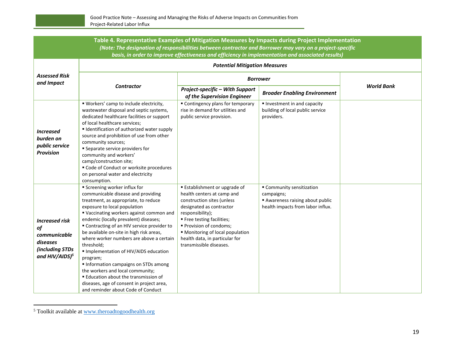| Table 4. Representative Examples of Mitigation Measures by Impacts during Project Implementation<br>(Note: The designation of responsibilities between contractor and Borrower may vary on a project-specific<br>basis, in order to improve effectiveness and efficiency in implementation and associated results) |                                                                                                                                                                                                                                                                                                                                                                                                                                                                                                                                                                                                                                                            |                                                                                                                                                                                                                                                                                                   |                                                                                                              |                   |  |
|--------------------------------------------------------------------------------------------------------------------------------------------------------------------------------------------------------------------------------------------------------------------------------------------------------------------|------------------------------------------------------------------------------------------------------------------------------------------------------------------------------------------------------------------------------------------------------------------------------------------------------------------------------------------------------------------------------------------------------------------------------------------------------------------------------------------------------------------------------------------------------------------------------------------------------------------------------------------------------------|---------------------------------------------------------------------------------------------------------------------------------------------------------------------------------------------------------------------------------------------------------------------------------------------------|--------------------------------------------------------------------------------------------------------------|-------------------|--|
| <b>Assessed Risk</b><br>and Impact                                                                                                                                                                                                                                                                                 |                                                                                                                                                                                                                                                                                                                                                                                                                                                                                                                                                                                                                                                            | <b>Potential Mitigation Measures</b>                                                                                                                                                                                                                                                              |                                                                                                              |                   |  |
|                                                                                                                                                                                                                                                                                                                    |                                                                                                                                                                                                                                                                                                                                                                                                                                                                                                                                                                                                                                                            | <b>Borrower</b>                                                                                                                                                                                                                                                                                   |                                                                                                              |                   |  |
|                                                                                                                                                                                                                                                                                                                    | <b>Contractor</b>                                                                                                                                                                                                                                                                                                                                                                                                                                                                                                                                                                                                                                          | Project-specific - With Support<br>of the Supervision Engineer                                                                                                                                                                                                                                    | <b>Broader Enabling Environment</b>                                                                          | <b>World Bank</b> |  |
| <b>Increased</b><br>burden on<br>public service<br><b>Provision</b>                                                                                                                                                                                                                                                | " Workers' camp to include electricity,<br>wastewater disposal and septic systems,<br>dedicated healthcare facilities or support<br>of local healthcare services;<br>Identification of authorized water supply<br>source and prohibition of use from other<br>community sources;<br><b>Separate service providers for</b><br>community and workers'<br>camp/construction site;<br>" Code of Conduct or worksite procedures<br>on personal water and electricity<br>consumption.                                                                                                                                                                            | • Contingency plans for temporary<br>rise in demand for utilities and<br>public service provision.                                                                                                                                                                                                | Investment in and capacity<br>building of local public service<br>providers.                                 |                   |  |
| <b>Increased risk</b><br>of<br>communicable<br>diseases<br>(including STDs<br>and HIV/AIDS) <sup>5</sup>                                                                                                                                                                                                           | <b>Screening worker influx for</b><br>communicable disease and providing<br>treatment, as appropriate, to reduce<br>exposure to local population<br>" Vaccinating workers against common and<br>endemic (locally prevalent) diseases;<br>" Contracting of an HIV service provider to<br>be available on-site in high risk areas,<br>where worker numbers are above a certain<br>threshold;<br>Implementation of HIV/AIDS education<br>program;<br>Information campaigns on STDs among<br>the workers and local community;<br><b>Education about the transmission of</b><br>diseases, age of consent in project area,<br>and reminder about Code of Conduct | ■ Establishment or upgrade of<br>health centers at camp and<br>construction sites (unless<br>designated as contractor<br>responsibility);<br>■ Free testing facilities;<br>Provision of condoms;<br>• Monitoring of local population<br>health data, in particular for<br>transmissible diseases. | Community sensitization<br>campaigns;<br>Awareness raising about public<br>health impacts from labor influx. |                   |  |

<sup>5</sup> Toolkit available a[t www.theroadtogoodhealth.org](http://www.theroadtogoodhealth.org/)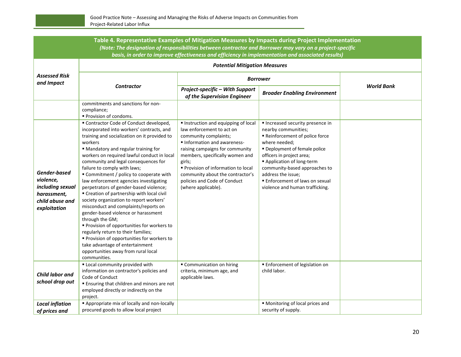| Table 4. Representative Examples of Mitigation Measures by Impacts during Project Implementation<br>(Note: The designation of responsibilities between contractor and Borrower may vary on a project-specific<br>basis, in order to improve effectiveness and efficiency in implementation and associated results) |                                                                                                                                                                                                                                                                                                                                                                                                                                                                                                                                                                                                                                                                                                                                                                                                                                                                       |                                                                                                                                                                                                                                                                                                                                        |                                                                                                                                                                                                                                                                                                                              |                   |
|--------------------------------------------------------------------------------------------------------------------------------------------------------------------------------------------------------------------------------------------------------------------------------------------------------------------|-----------------------------------------------------------------------------------------------------------------------------------------------------------------------------------------------------------------------------------------------------------------------------------------------------------------------------------------------------------------------------------------------------------------------------------------------------------------------------------------------------------------------------------------------------------------------------------------------------------------------------------------------------------------------------------------------------------------------------------------------------------------------------------------------------------------------------------------------------------------------|----------------------------------------------------------------------------------------------------------------------------------------------------------------------------------------------------------------------------------------------------------------------------------------------------------------------------------------|------------------------------------------------------------------------------------------------------------------------------------------------------------------------------------------------------------------------------------------------------------------------------------------------------------------------------|-------------------|
|                                                                                                                                                                                                                                                                                                                    |                                                                                                                                                                                                                                                                                                                                                                                                                                                                                                                                                                                                                                                                                                                                                                                                                                                                       | <b>Potential Mitigation Measures</b>                                                                                                                                                                                                                                                                                                   |                                                                                                                                                                                                                                                                                                                              |                   |
| <b>Assessed Risk</b><br>and Impact                                                                                                                                                                                                                                                                                 |                                                                                                                                                                                                                                                                                                                                                                                                                                                                                                                                                                                                                                                                                                                                                                                                                                                                       |                                                                                                                                                                                                                                                                                                                                        | <b>Borrower</b>                                                                                                                                                                                                                                                                                                              |                   |
|                                                                                                                                                                                                                                                                                                                    | <b>Contractor</b>                                                                                                                                                                                                                                                                                                                                                                                                                                                                                                                                                                                                                                                                                                                                                                                                                                                     | Project-specific - With Support<br>of the Supervision Engineer                                                                                                                                                                                                                                                                         | <b>Broader Enabling Environment</b>                                                                                                                                                                                                                                                                                          | <b>World Bank</b> |
|                                                                                                                                                                                                                                                                                                                    | commitments and sanctions for non-<br>compliance;<br>■ Provision of condoms.                                                                                                                                                                                                                                                                                                                                                                                                                                                                                                                                                                                                                                                                                                                                                                                          |                                                                                                                                                                                                                                                                                                                                        |                                                                                                                                                                                                                                                                                                                              |                   |
| Gender-based<br>violence,<br>including sexual<br>harassment,<br>child abuse and<br>exploitation                                                                                                                                                                                                                    | " Contractor Code of Conduct developed,<br>incorporated into workers' contracts, and<br>training and socialization on it provided to<br>workers<br>" Mandatory and regular training for<br>workers on required lawful conduct in local<br>community and legal consequences for<br>failure to comply with laws;<br>" Commitment / policy to cooperate with<br>law enforcement agencies investigating<br>perpetrators of gender-based violence;<br>" Creation of partnership with local civil<br>society organization to report workers'<br>misconduct and complaints/reports on<br>gender-based violence or harassment<br>through the GM;<br>" Provision of opportunities for workers to<br>regularly return to their families;<br>Provision of opportunities for workers to<br>take advantage of entertainment<br>opportunities away from rural local<br>communities. | Instruction and equipping of local<br>law enforcement to act on<br>community complaints;<br>Information and awareness-<br>raising campaigns for community<br>members, specifically women and<br>girls;<br>Provision of information to local<br>community about the contractor's<br>policies and Code of Conduct<br>(where applicable). | Increased security presence in<br>nearby communities;<br>Reinforcement of police force<br>where needed;<br>Deployment of female police<br>officers in project area;<br>Application of long-term<br>community-based approaches to<br>address the issue;<br>■ Enforcement of laws on sexual<br>violence and human trafficking. |                   |
| <b>Child labor and</b><br>school drop out                                                                                                                                                                                                                                                                          | " Local community provided with<br>information on contractor's policies and<br>Code of Conduct<br><b>Ensuring that children and minors are not</b><br>employed directly or indirectly on the<br>project.                                                                                                                                                                                                                                                                                                                                                                                                                                                                                                                                                                                                                                                              | " Communication on hiring<br>criteria, minimum age, and<br>applicable laws.                                                                                                                                                                                                                                                            | <b>Enforcement of legislation on</b><br>child labor.                                                                                                                                                                                                                                                                         |                   |
| <b>Local inflation</b><br>of prices and                                                                                                                                                                                                                                                                            | Appropriate mix of locally and non-locally<br>procured goods to allow local project                                                                                                                                                                                                                                                                                                                                                                                                                                                                                                                                                                                                                                                                                                                                                                                   |                                                                                                                                                                                                                                                                                                                                        | • Monitoring of local prices and<br>security of supply.                                                                                                                                                                                                                                                                      |                   |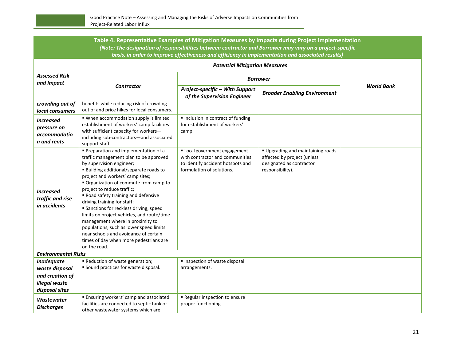| Table 4. Representative Examples of Mitigation Measures by Impacts during Project Implementation<br>(Note: The designation of responsibilities between contractor and Borrower may vary on a project-specific |                                                                                                                                                                                                                                                                                                                                                                                                                                                                                                                                                                                                                            |                                                                                                                                  |                                                                                                                |                   |  |  |  |
|---------------------------------------------------------------------------------------------------------------------------------------------------------------------------------------------------------------|----------------------------------------------------------------------------------------------------------------------------------------------------------------------------------------------------------------------------------------------------------------------------------------------------------------------------------------------------------------------------------------------------------------------------------------------------------------------------------------------------------------------------------------------------------------------------------------------------------------------------|----------------------------------------------------------------------------------------------------------------------------------|----------------------------------------------------------------------------------------------------------------|-------------------|--|--|--|
| basis, in order to improve effectiveness and efficiency in implementation and associated results)                                                                                                             |                                                                                                                                                                                                                                                                                                                                                                                                                                                                                                                                                                                                                            |                                                                                                                                  |                                                                                                                |                   |  |  |  |
|                                                                                                                                                                                                               | <b>Potential Mitigation Measures</b>                                                                                                                                                                                                                                                                                                                                                                                                                                                                                                                                                                                       |                                                                                                                                  |                                                                                                                |                   |  |  |  |
| <b>Assessed Risk</b><br>and Impact                                                                                                                                                                            | <b>Contractor</b>                                                                                                                                                                                                                                                                                                                                                                                                                                                                                                                                                                                                          | <b>Borrower</b>                                                                                                                  |                                                                                                                |                   |  |  |  |
|                                                                                                                                                                                                               |                                                                                                                                                                                                                                                                                                                                                                                                                                                                                                                                                                                                                            | Project-specific - With Support<br>of the Supervision Engineer                                                                   | <b>Broader Enabling Environment</b>                                                                            | <b>World Bank</b> |  |  |  |
| crowding out of<br>local consumers                                                                                                                                                                            | benefits while reducing risk of crowding<br>out of and price hikes for local consumers.                                                                                                                                                                                                                                                                                                                                                                                                                                                                                                                                    |                                                                                                                                  |                                                                                                                |                   |  |  |  |
| <b>Increased</b><br>pressure on<br>accommodatio<br>n and rents                                                                                                                                                | " When accommodation supply is limited<br>establishment of workers' camp facilities<br>with sufficient capacity for workers-<br>including sub-contractors-and associated<br>support staff.                                                                                                                                                                                                                                                                                                                                                                                                                                 | Inclusion in contract of funding<br>for establishment of workers'<br>camp.                                                       |                                                                                                                |                   |  |  |  |
| <b>Increased</b><br>traffic and rise<br>in accidents                                                                                                                                                          | Preparation and implementation of a<br>traffic management plan to be approved<br>by supervision engineer;<br><b>Building additional/separate roads to</b><br>project and workers' camp sites;<br>" Organization of commute from camp to<br>project to reduce traffic;<br>Road safety training and defensive<br>driving training for staff;<br><b>Sanctions for reckless driving, speed</b><br>limits on project vehicles, and route/time<br>management where in proximity to<br>populations, such as lower speed limits<br>near schools and avoidance of certain<br>times of day when more pedestrians are<br>on the road. | Local government engagement<br>with contractor and communities<br>to identify accident hotspots and<br>formulation of solutions. | Upgrading and maintaining roads<br>affected by project (unless<br>designated as contractor<br>responsibility). |                   |  |  |  |
| <b>Environmental Risks</b>                                                                                                                                                                                    |                                                                                                                                                                                                                                                                                                                                                                                                                                                                                                                                                                                                                            |                                                                                                                                  |                                                                                                                |                   |  |  |  |
| <b>Inadequate</b><br>waste disposal<br>and creation of<br>illegal waste<br>disposal sites                                                                                                                     | Reduction of waste generation;<br>Sound practices for waste disposal.                                                                                                                                                                                                                                                                                                                                                                                                                                                                                                                                                      | Inspection of waste disposal<br>arrangements.                                                                                    |                                                                                                                |                   |  |  |  |
| <b>Wastewater</b><br><b>Discharges</b>                                                                                                                                                                        | <b>Ensuring workers' camp and associated</b><br>facilities are connected to septic tank or<br>other wastewater systems which are                                                                                                                                                                                                                                                                                                                                                                                                                                                                                           | Regular inspection to ensure<br>proper functioning.                                                                              |                                                                                                                |                   |  |  |  |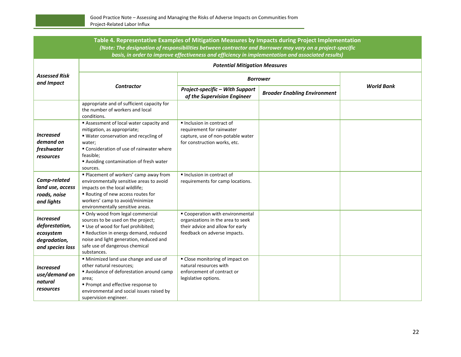| Table 4. Representative Examples of Mitigation Measures by Impacts during Project Implementation<br>(Note: The designation of responsibilities between contractor and Borrower may vary on a project-specific |                                                                                                                                                                                                                                              |                                                                                                                                           |                                     |                   |  |  |  |
|---------------------------------------------------------------------------------------------------------------------------------------------------------------------------------------------------------------|----------------------------------------------------------------------------------------------------------------------------------------------------------------------------------------------------------------------------------------------|-------------------------------------------------------------------------------------------------------------------------------------------|-------------------------------------|-------------------|--|--|--|
| basis, in order to improve effectiveness and efficiency in implementation and associated results)                                                                                                             |                                                                                                                                                                                                                                              |                                                                                                                                           |                                     |                   |  |  |  |
| <b>Assessed Risk</b><br>and Impact                                                                                                                                                                            | <b>Potential Mitigation Measures</b>                                                                                                                                                                                                         |                                                                                                                                           |                                     |                   |  |  |  |
|                                                                                                                                                                                                               | <b>Contractor</b>                                                                                                                                                                                                                            | <b>Borrower</b>                                                                                                                           |                                     |                   |  |  |  |
|                                                                                                                                                                                                               |                                                                                                                                                                                                                                              | Project-specific - With Support<br>of the Supervision Engineer                                                                            | <b>Broader Enabling Environment</b> | <b>World Bank</b> |  |  |  |
|                                                                                                                                                                                                               | appropriate and of sufficient capacity for<br>the number of workers and local<br>conditions.                                                                                                                                                 |                                                                                                                                           |                                     |                   |  |  |  |
| <b>Increased</b><br>demand on<br>freshwater<br>resources                                                                                                                                                      | Assessment of local water capacity and<br>mitigation, as appropriate;<br>■ Water conservation and recycling of<br>water;<br>" Consideration of use of rainwater where<br>feasible;<br>Avoiding contamination of fresh water<br>sources.      | Inclusion in contract of<br>requirement for rainwater<br>capture, use of non-potable water<br>for construction works, etc.                |                                     |                   |  |  |  |
| Camp-related<br>land use, access<br>roads, noise<br>and lights                                                                                                                                                | " Placement of workers' camp away from<br>environmentally sensitive areas to avoid<br>impacts on the local wildlife;<br>Routing of new access routes for<br>workers' camp to avoid/minimize<br>environmentally sensitive areas.              | Inclusion in contract of<br>requirements for camp locations.                                                                              |                                     |                   |  |  |  |
| <b>Increased</b><br>deforestation,<br>ecosystem<br>degradation,<br>and species loss                                                                                                                           | Only wood from legal commercial<br>sources to be used on the project;<br>Use of wood for fuel prohibited;<br>Reduction in energy demand, reduced<br>noise and light generation, reduced and<br>safe use of dangerous chemical<br>substances. | " Cooperation with environmental<br>organizations in the area to seek<br>their advice and allow for early<br>feedback on adverse impacts. |                                     |                   |  |  |  |
| <b>Increased</b><br>use/demand on<br>natural<br>resources                                                                                                                                                     | " Minimized land use change and use of<br>other natural resources;<br>Avoidance of deforestation around camp<br>area;<br>Prompt and effective response to<br>environmental and social issues raised by<br>supervision engineer.              | " Close monitoring of impact on<br>natural resources with<br>enforcement of contract or<br>legislative options.                           |                                     |                   |  |  |  |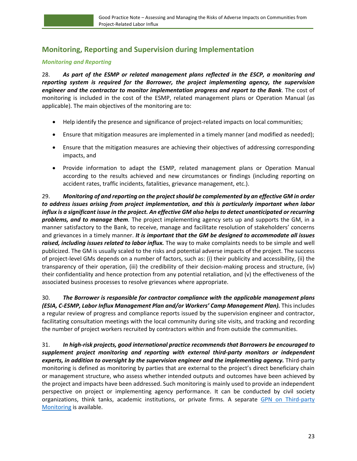# <span id="page-26-0"></span>**Monitoring, Reporting and Supervision during Implementation**

### *Monitoring and Reporting*

28. *As part of the ESMP or related management plans reflected in the ESCP, a monitoring and reporting system is required for the Borrower, the project implementing agency, the supervision engineer and the contractor to monitor implementation progress and report to the Bank.* The cost of monitoring is included in the cost of the ESMP, related management plans or Operation Manual (as applicable). The main objectives of the monitoring are to:

- Help identify the presence and significance of project-related impacts on local communities;
- Ensure that mitigation measures are implemented in a timely manner (and modified as needed);
- Ensure that the mitigation measures are achieving their objectives of addressing corresponding impacts, and
- Provide information to adapt the ESMP, related management plans or Operation Manual according to the results achieved and new circumstances or findings (including reporting on accident rates, traffic incidents, fatalities, grievance management, etc.).

29. *Monitoring of and reporting on the project should be complemented by an effective GM in order to address issues arising from project implementation, and this is particularly important when labor influx is a significant issue in the project. An effective GM also helps to detect unanticipated or recurring problems, and to manage them.* The project implementing agency sets up and supports the GM, in a manner satisfactory to the Bank, to receive, manage and facilitate resolution of stakeholders' concerns and grievances in a timely manner. *It is important that the GM be designed to accommodate all issues raised, including issues related to labor influx.* The way to make complaints needs to be simple and well publicized. The GM is usually scaled to the risks and potential adverse impacts of the project. The success of project-level GMs depends on a number of factors, such as: (i) their publicity and accessibility, (ii) the transparency of their operation, (iii) the credibility of their decision-making process and structure, (iv) their confidentiality and hence protection from any potential retaliation, and (v) the effectiveness of the associated business processes to resolve grievances where appropriate.

30. *The Borrower is responsible for contractor compliance with the applicable management plans (ESIA, C-ESMP, Labor Influx Management Plan and/or Workers' Camp Management Plan).* This includes a regular review of progress and compliance reports issued by the supervision engineer and contractor, facilitating consultation meetings with the local community during site visits, and tracking and recording the number of project workers recruited by contractors within and from outside the communities.

31. *In high-risk projects, good international practice recommends that Borrowers be encouraged to supplement project monitoring and reporting with external third-party monitors or independent experts, in addition to oversight by the supervision engineer and the implementing agency.* Third-party monitoring is defined as monitoring by parties that are external to the project's direct beneficiary chain or management structure, who assess whether intended outputs and outcomes have been achieved by the project and impacts have been addressed. Such monitoring is mainly used to provide an independent perspective on project or implementing agency performance. It can be conducted by civil society organizations, think tanks, academic institutions, or private firms. A separate GPN on Third-party [Monitoring](http://pubdocs.worldbank.org/en/578001530208566471/ESF-GPN-Third-Party-Monitoring-June-2018.pdf) is available.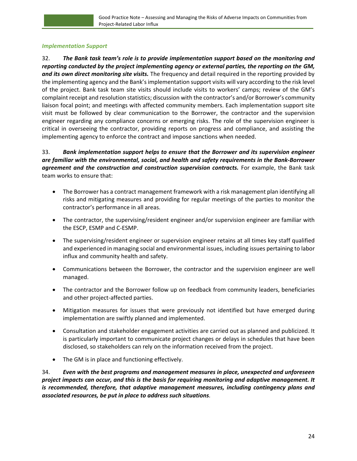#### *Implementation Support*

32. *The Bank task team's role is to provide implementation support based on the monitoring and reporting conducted by the project implementing agency or external parties, the reporting on the GM, and its own direct monitoring site visits.* The frequency and detail required in the reporting provided by the implementing agency and the Bank's implementation support visits will vary according to the risk level of the project. Bank task team site visits should include visits to workers' camps; review of the GM's complaint receipt and resolution statistics; discussion with the contractor's and/or Borrower's community liaison focal point; and meetings with affected community members. Each implementation support site visit must be followed by clear communication to the Borrower, the contractor and the supervision engineer regarding any compliance concerns or emerging risks. The role of the supervision engineer is critical in overseeing the contractor, providing reports on progress and compliance, and assisting the implementing agency to enforce the contract and impose sanctions when needed.

## 33. *Bank implementation support helps to ensure that the Borrower and its supervision engineer are familiar with the environmental, social, and health and safety requirements in the Bank-Borrower agreement and the construction and construction supervision contracts.* For example, the Bank task team works to ensure that:

- The Borrower has a contract management framework with a risk management plan identifying all risks and mitigating measures and providing for regular meetings of the parties to monitor the contractor's performance in all areas.
- The contractor, the supervising/resident engineer and/or supervision engineer are familiar with the ESCP, ESMP and C-ESMP.
- The supervising/resident engineer or supervision engineer retains at all times key staff qualified and experienced in managing social and environmental issues, including issues pertaining to labor influx and community health and safety.
- Communications between the Borrower, the contractor and the supervision engineer are well managed.
- The contractor and the Borrower follow up on feedback from community leaders, beneficiaries and other project-affected parties.
- Mitigation measures for issues that were previously not identified but have emerged during implementation are swiftly planned and implemented.
- Consultation and stakeholder engagement activities are carried out as planned and publicized. It is particularly important to communicate project changes or delays in schedules that have been disclosed, so stakeholders can rely on the information received from the project.
- The GM is in place and functioning effectively.

34. *Even with the best programs and management measures in place, unexpected and unforeseen project impacts can occur, and this is the basis for requiring monitoring and adaptive management. It is recommended, therefore, that adaptive management measures, including contingency plans and associated resources, be put in place to address such situations.*